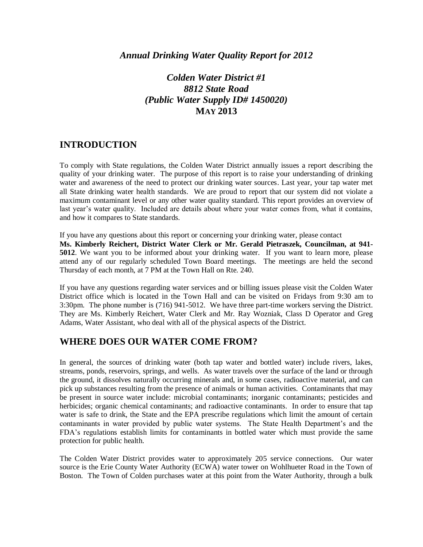# *Colden Water District #1 8812 State Road (Public Water Supply ID# 1450020)* **MAY 2013**

#### **INTRODUCTION**

To comply with State regulations, the Colden Water District annually issues a report describing the quality of your drinking water. The purpose of this report is to raise your understanding of drinking water and awareness of the need to protect our drinking water sources. Last year, your tap water met all State drinking water health standards. We are proud to report that our system did not violate a maximum contaminant level or any other water quality standard. This report provides an overview of last year's water quality. Included are details about where your water comes from, what it contains, and how it compares to State standards.

If you have any questions about this report or concerning your drinking water, please contact

**Ms. Kimberly Reichert, District Water Clerk or Mr. Gerald Pietraszek, Councilman, at 941- 5012**. We want you to be informed about your drinking water. If you want to learn more, please attend any of our regularly scheduled Town Board meetings. The meetings are held the second Thursday of each month, at 7 PM at the Town Hall on Rte. 240.

If you have any questions regarding water services and or billing issues please visit the Colden Water District office which is located in the Town Hall and can be visited on Fridays from 9:30 am to 3:30pm. The phone number is (716) 941-5012. We have three part-time workers serving the District. They are Ms. Kimberly Reichert, Water Clerk and Mr. Ray Wozniak, Class D Operator and Greg Adams, Water Assistant, who deal with all of the physical aspects of the District.

# **WHERE DOES OUR WATER COME FROM?**

In general, the sources of drinking water (both tap water and bottled water) include rivers, lakes, streams, ponds, reservoirs, springs, and wells. As water travels over the surface of the land or through the ground, it dissolves naturally occurring minerals and, in some cases, radioactive material, and can pick up substances resulting from the presence of animals or human activities. Contaminants that may be present in source water include: microbial contaminants; inorganic contaminants; pesticides and herbicides; organic chemical contaminants; and radioactive contaminants. In order to ensure that tap water is safe to drink, the State and the EPA prescribe regulations which limit the amount of certain contaminants in water provided by public water systems. The State Health Department's and the FDA's regulations establish limits for contaminants in bottled water which must provide the same protection for public health.

The Colden Water District provides water to approximately 205 service connections. Our water source is the Erie County Water Authority (ECWA) water tower on Wohlhueter Road in the Town of Boston. The Town of Colden purchases water at this point from the Water Authority, through a bulk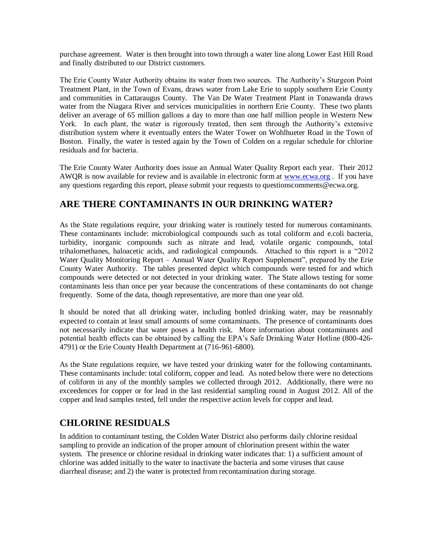purchase agreement. Water is then brought into town through a water line along Lower East Hill Road and finally distributed to our District customers.

The Erie County Water Authority obtains its water from two sources. The Authority's Sturgeon Point Treatment Plant, in the Town of Evans, draws water from Lake Erie to supply southern Erie County and communities in Cattaraugus County. The Van De Water Treatment Plant in Tonawanda draws water from the Niagara River and services municipalities in northern Erie County. These two plants deliver an average of 65 million gallons a day to more than one half million people in Western New York. In each plant, the water is rigorously treated, then sent through the Authority's extensive distribution system where it eventually enters the Water Tower on Wohlhueter Road in the Town of Boston. Finally, the water is tested again by the Town of Colden on a regular schedule for chlorine residuals and for bacteria.

The Erie County Water Authority does issue an Annual Water Quality Report each year. Their 2012 AWQR is now available for review and is available in electronic form at [www.ecwa.org](http://www.ecwa.org/) . If you have any questions regarding this report, please submit your requests to questionscomments@ecwa.org.

### **ARE THERE CONTAMINANTS IN OUR DRINKING WATER?**

As the State regulations require, your drinking water is routinely tested for numerous contaminants. These contaminants include: microbiological compounds such as total coliform and e.coli bacteria, turbidity, inorganic compounds such as nitrate and lead, volatile organic compounds, total trihalomethanes, haloacetic acids, and radiological compounds. Attached to this report is a "2012 Water Quality Monitoring Report – Annual Water Quality Report Supplement", prepared by the Erie County Water Authority. The tables presented depict which compounds were tested for and which compounds were detected or not detected in your drinking water. The State allows testing for some contaminants less than once per year because the concentrations of these contaminants do not change frequently. Some of the data, though representative, are more than one year old.

It should be noted that all drinking water, including bottled drinking water, may be reasonably expected to contain at least small amounts of some contaminants. The presence of contaminants does not necessarily indicate that water poses a health risk. More information about contaminants and potential health effects can be obtained by calling the EPA's Safe Drinking Water Hotline (800-426- 4791) or the Erie County Health Department at (716-961-6800).

As the State regulations require, we have tested your drinking water for the following contaminants. These contaminants include: total coliform, copper and lead. As noted below there were no detections of coliform in any of the monthly samples we collected through 2012. Additionally, there were no exceedences for copper or for lead in the last residential sampling round in August 2012. All of the copper and lead samples tested, fell under the respective action levels for copper and lead.

# **CHLORINE RESIDUALS**

In addition to contaminant testing, the Colden Water District also performs daily chlorine residual sampling to provide an indication of the proper amount of chlorination present within the water system. The presence or chlorine residual in drinking water indicates that: 1) a sufficient amount of chlorine was added initially to the water to inactivate the bacteria and some viruses that cause diarrheal disease; and 2) the water is protected from recontamination during storage.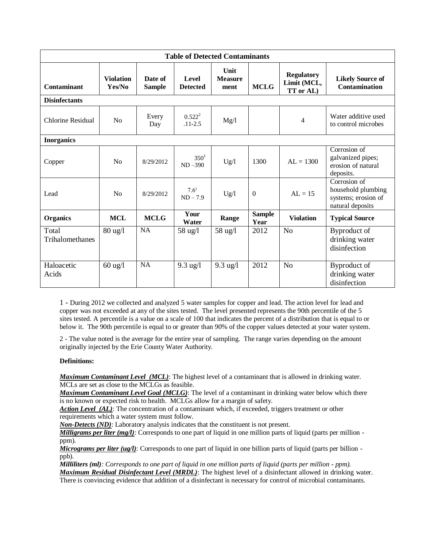| <b>Table of Detected Contaminants</b> |                            |                          |                          |                                       |                       |                                               |                                                                               |
|---------------------------------------|----------------------------|--------------------------|--------------------------|---------------------------------------|-----------------------|-----------------------------------------------|-------------------------------------------------------------------------------|
| Contaminant                           | <b>Violation</b><br>Yes/No | Date of<br><b>Sample</b> | Level<br><b>Detected</b> | <b>Unit</b><br><b>Measure</b><br>ment | <b>MCLG</b>           | <b>Regulatory</b><br>Limit (MCL,<br>TT or AL) | <b>Likely Source of</b><br><b>Contamination</b>                               |
| <b>Disinfectants</b>                  |                            |                          |                          |                                       |                       |                                               |                                                                               |
| Chlorine Residual                     | N <sub>0</sub>             | Every<br>Day             | $0.522^2$<br>$.11 - 2.5$ | Mg/l                                  |                       | $\overline{4}$                                | Water additive used<br>to control microbes                                    |
| <b>Inorganics</b>                     |                            |                          |                          |                                       |                       |                                               |                                                                               |
| Copper                                | N <sub>0</sub>             | 8/29/2012                | $350^1$<br>$ND - 390$    | Ug/l                                  | 1300                  | $AI = 1300$                                   | Corrosion of<br>galvanized pipes;<br>erosion of natural<br>deposits.          |
| Lead                                  | N <sub>0</sub>             | 8/29/2012                | $7.6^{1}$<br>$ND - 7.9$  | Ug/l                                  | $\boldsymbol{0}$      | $AI = 15$                                     | Corrosion of<br>household plumbing<br>systems; erosion of<br>natural deposits |
| <b>Organics</b>                       | <b>MCL</b>                 | <b>MCLG</b>              | Your<br>Water            | Range                                 | <b>Sample</b><br>Year | <b>Violation</b>                              | <b>Typical Source</b>                                                         |
| Total<br>Trihalomethanes              | $80 \text{ ug}/l$          | <b>NA</b>                | 58 ug/l                  | 58 ug/l                               | 2012                  | N <sub>o</sub>                                | Byproduct of<br>drinking water<br>disinfection                                |
| Haloacetic<br>Acids                   | $60 \text{ ug}/l$          | <b>NA</b>                | $9.3$ ug/l               | $9.3$ ug/l                            | 2012                  | N <sub>o</sub>                                | Byproduct of<br>drinking water<br>disinfection                                |

1 - During 2012 we collected and analyzed 5 water samples for copper and lead. The action level for lead and copper was not exceeded at any of the sites tested. The level presented represents the 90th percentile of the 5 sites tested. A percentile is a value on a scale of 100 that indicates the percent of a distribution that is equal to or below it. The 90th percentile is equal to or greater than 90% of the copper values detected at your water system.

2 - The value noted is the average for the entire year of sampling. The range varies depending on the amount originally injected by the Erie County Water Authority.

#### **Definitions:**

*Maximum Contaminant Level (MCL)*: The highest level of a contaminant that is allowed in drinking water. MCLs are set as close to the MCLGs as feasible.

*Maximum Contaminant Level Goal (MCLG)*: The level of a contaminant in drinking water below which there is no known or expected risk to health. MCLGs allow for a margin of safety.

*Action Level (AL)*: The concentration of a contaminant which, if exceeded, triggers treatment or other requirements which a water system must follow.

*Non-Detects (ND)*: Laboratory analysis indicates that the constituent is not present.

*Milligrams per liter (mg/l)*: Corresponds to one part of liquid in one million parts of liquid (parts per million ppm).

*Micrograms per liter (ug/l)*: Corresponds to one part of liquid in one billion parts of liquid (parts per billion ppb).

*Milliliters (ml): Corresponds to one part of liquid in one million parts of liquid (parts per million - ppm). Maximum Residual Disinfectant Level (MRDL)*: The highest level of a disinfectant allowed in drinking water. There is convincing evidence that addition of a disinfectant is necessary for control of microbial contaminants.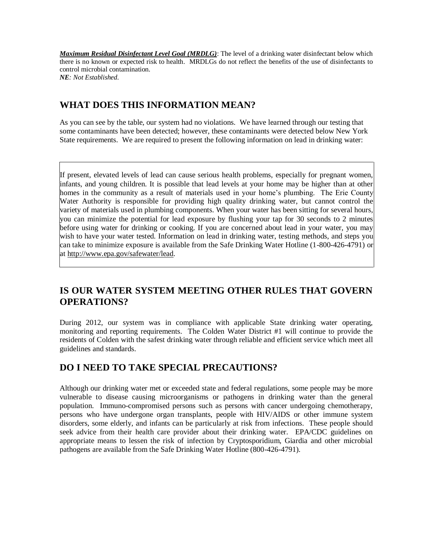*Maximum Residual Disinfectant Level Goal (MRDLG)*: The level of a drinking water disinfectant below which there is no known or expected risk to health. MRDLGs do not reflect the benefits of the use of disinfectants to control microbial contamination. *NE: Not Established.*

### **WHAT DOES THIS INFORMATION MEAN?**

As you can see by the table, our system had no violations. We have learned through our testing that some contaminants have been detected; however, these contaminants were detected below New York State requirements. We are required to present the following information on lead in drinking water:

If present, elevated levels of lead can cause serious health problems, especially for pregnant women, infants, and young children. It is possible that lead levels at your home may be higher than at other homes in the community as a result of materials used in your home's plumbing. The Erie County Water Authority is responsible for providing high quality drinking water, but cannot control the variety of materials used in plumbing components. When your water has been sitting for several hours, you can minimize the potential for lead exposure by flushing your tap for 30 seconds to 2 minutes before using water for drinking or cooking. If you are concerned about lead in your water, you may wish to have your water tested. Information on lead in drinking water, testing methods, and steps you can take to minimize exposure is available from the Safe Drinking Water Hotline (1-800-426-4791) or at http://www.epa.gov/safewater/lead.

# **IS OUR WATER SYSTEM MEETING OTHER RULES THAT GOVERN OPERATIONS?**

During 2012, our system was in compliance with applicable State drinking water operating, monitoring and reporting requirements. The Colden Water District #1 will continue to provide the residents of Colden with the safest drinking water through reliable and efficient service which meet all guidelines and standards.

# **DO I NEED TO TAKE SPECIAL PRECAUTIONS?**

Although our drinking water met or exceeded state and federal regulations, some people may be more vulnerable to disease causing microorganisms or pathogens in drinking water than the general population. Immuno-compromised persons such as persons with cancer undergoing chemotherapy, persons who have undergone organ transplants, people with HIV/AIDS or other immune system disorders, some elderly, and infants can be particularly at risk from infections. These people should seek advice from their health care provider about their drinking water. EPA/CDC guidelines on appropriate means to lessen the risk of infection by Cryptosporidium, Giardia and other microbial pathogens are available from the Safe Drinking Water Hotline (800-426-4791).